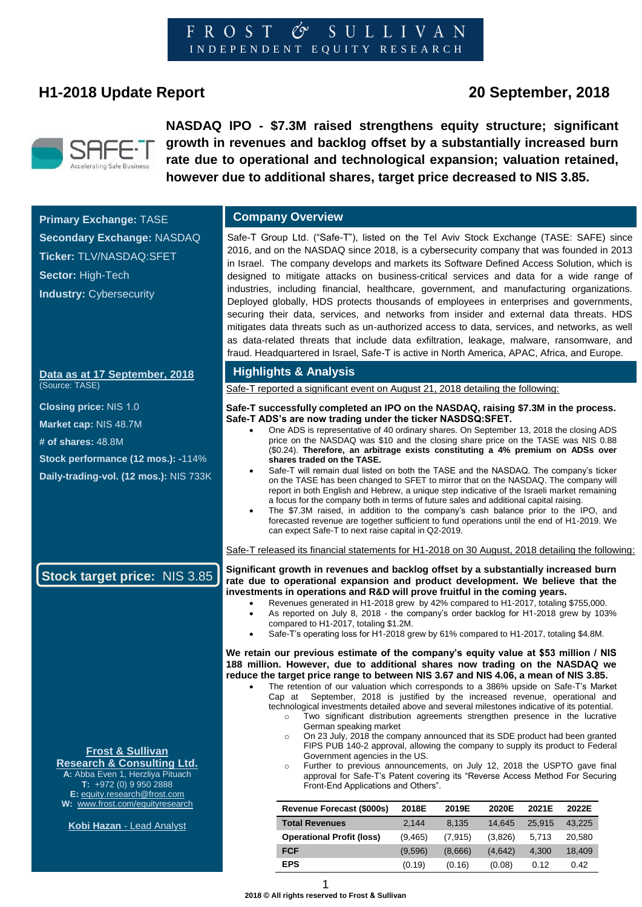# **H1-2018 Update Report 20 September, 2018**



**Industry: Cybersecurity** 

**NASDAQ IPO - \$7.3M raised strengthens equity structure; significant growth in revenues and backlog offset by a substantially increased burn rate due to operational and technological expansion; valuation retained, however due to additional shares, target price decreased to NIS 3.85.**

**Primary Exchange:** TASE **Company Overview Secondary Exchange:** NASDAQ **Ticker:** TLV/NASDAQ:SFET **Sector:** High-Tech

**Data as at 17 September, 2018**  (Source: TASE)

**Closing price:** NIS 1.0

**Market cap:** NIS 48.7M

**# of shares:** 48.8M

**Stock performance (12 mos.): -**114%

**Daily-trading-vol. (12 mos.):** NIS 733K

Safe-T Group Ltd. ("Safe-T"), listed on the Tel Aviv Stock Exchange (TASE: SAFE) since 2016, and on the NASDAQ since 2018, is a cybersecurity company that was founded in 2013 in Israel. The company develops and markets its Software Defined Access Solution, which is designed to mitigate attacks on business-critical services and data for a wide range of industries, including financial, healthcare, government, and manufacturing organizations. Deployed globally, HDS protects thousands of employees in enterprises and governments, securing their data, services, and networks from insider and external data threats. HDS mitigates data threats such as un-authorized access to data, services, and networks, as well as data-related threats that include data exfiltration, leakage, malware, ransomware, and fraud. Headquartered in Israel, Safe-T is active in North America, APAC, Africa, and Europe.

#### **Highlights & Analysis**

Safe-T reported a significant event on August 21, 2018 detailing the following:

#### **Safe-T successfully completed an IPO on the NASDAQ, raising \$7.3M in the process. Safe-T ADS's are now trading under the ticker NASDSQ:SFET.**

- One ADS is representative of 40 ordinary shares. On September 13, 2018 the closing ADS price on the NASDAQ was \$10 and the closing share price on the TASE was NIS 0.88 (\$0.24). **Therefore, an arbitrage exists constituting a 4% premium on ADSs over shares traded on the TASE.**
	- Safe-T will remain dual listed on both the TASE and the NASDAQ. The company's ticker on the TASE has been changed to SFET to mirror that on the NASDAQ. The company will report in both English and Hebrew, a unique step indicative of the Israeli market remaining a focus for the company both in terms of future sales and additional capital raising.
- The \$7.3M raised, in addition to the company's cash balance prior to the IPO, and forecasted revenue are together sufficient to fund operations until the end of H1-2019. We can expect Safe-T to next raise capital in Q2-2019.

Safe-T released its financial statements for H1-2018 on 30 August, 2018 detailing the following:

**Significant growth in revenues and backlog offset by a substantially increased burn rate due to operational expansion and product development. We believe that the investments in operations and R&D will prove fruitful in the coming years.**

- Revenues generated in H1-2018 grew by 42% compared to H1-2017, totaling \$755,000.
	- As reported on July 8, 2018 the company's order backlog for H1-2018 grew by 103% compared to H1-2017, totaling \$1.2M.
- Safe-T's operating loss for H1-2018 grew by 61% compared to H1-2017, totaling \$4.8M.

**We retain our previous estimate of the company's equity value at \$53 million / NIS 188 million. However, due to additional shares now trading on the NASDAQ we reduce the target price range to between NIS 3.67 and NIS 4.06, a mean of NIS 3.85.**

- The retention of our valuation which corresponds to a 386% upside on Safe-T's Market Cap at September, 2018 is justified by the increased revenue, operational and technological investments detailed above and several milestones indicative of its potential.
	- o Two significant distribution agreements strengthen presence in the lucrative German speaking market
	- o On 23 July, 2018 the company announced that its SDE product had been granted FIPS PUB 140-2 approval, allowing the company to supply its product to Federal Government agencies in the US.
	- o Further to previous announcements, on July 12, 2018 the USPTO gave final approval for Safe-T's Patent covering its "Reverse Access Method For Securing Front-End Applications and Others".

| <b>Revenue Forecast (\$000s)</b> | 2018E    | 2019E   | 2020E   | 2021E  | 2022E  |
|----------------------------------|----------|---------|---------|--------|--------|
| <b>Total Revenues</b>            | 2.144    | 8.135   | 14.645  | 25.915 | 43,225 |
| <b>Operational Profit (loss)</b> | (9, 465) | (7.915) | (3,826) | 5.713  | 20.580 |
| <b>FCF</b>                       | (9.596)  | (8.666) | (4.642) | 4.300  | 18,409 |
| <b>EPS</b>                       | (0.19)   | (0.16)  | (0.08)  | 0.12   | 0.42   |

**Stock target price:** NIS 3.85

#### **Frost & Sullivan Research & Consulting Ltd.**

**A:** Abba Even 1, Herzliya Pituach **T:** +972 (0) 9 950 2888 **E[:](mailto:equity.research@frost.com)** [equity.research@frost.com](mailto:equity.research@frost.com) **W:** [www.frost.com/equityresearch](http://www.frost.com/equityresearch)

**Kobi Hazan** - Lead Analyst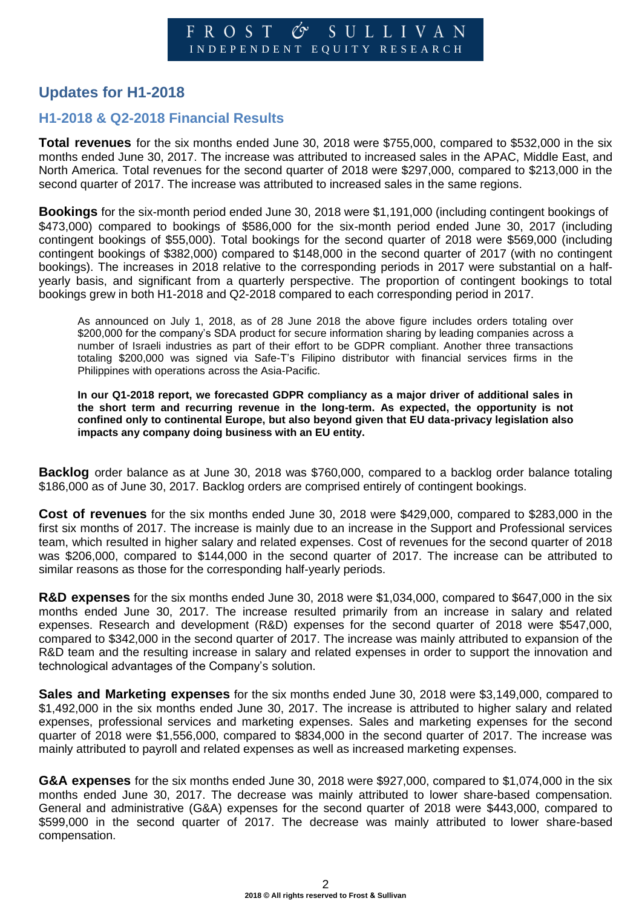# **Updates for H1-2018**

#### **H1-2018 & Q2-2018 Financial Results**

**Total revenues** for the six months ended June 30, 2018 were \$755,000, compared to \$532,000 in the six months ended June 30, 2017. The increase was attributed to increased sales in the APAC, Middle East, and North America. Total revenues for the second quarter of 2018 were \$297,000, compared to \$213,000 in the second quarter of 2017. The increase was attributed to increased sales in the same regions.

**Bookings** for the six-month period ended June 30, 2018 were \$1,191,000 (including contingent bookings of \$473,000) compared to bookings of \$586,000 for the six-month period ended June 30, 2017 (including contingent bookings of \$55,000). Total bookings for the second quarter of 2018 were \$569,000 (including contingent bookings of \$382,000) compared to \$148,000 in the second quarter of 2017 (with no contingent bookings). The increases in 2018 relative to the corresponding periods in 2017 were substantial on a halfyearly basis, and significant from a quarterly perspective. The proportion of contingent bookings to total bookings grew in both H1-2018 and Q2-2018 compared to each corresponding period in 2017.

As announced on July 1, 2018, as of 28 June 2018 the above figure includes orders totaling over \$200,000 for the company's SDA product for secure information sharing by leading companies across a number of Israeli industries as part of their effort to be GDPR compliant. Another three transactions totaling \$200,000 was signed via Safe-T's Filipino distributor with financial services firms in the Philippines with operations across the Asia-Pacific.

**In our Q1-2018 report, we forecasted GDPR compliancy as a major driver of additional sales in the short term and recurring revenue in the long-term. As expected, the opportunity is not confined only to continental Europe, but also beyond given that EU data-privacy legislation also impacts any company doing business with an EU entity.** 

**Backlog** order balance as at June 30, 2018 was \$760,000, compared to a backlog order balance totaling \$186,000 as of June 30, 2017. Backlog orders are comprised entirely of contingent bookings.

**Cost of revenues** for the six months ended June 30, 2018 were \$429,000, compared to \$283,000 in the first six months of 2017. The increase is mainly due to an increase in the Support and Professional services team, which resulted in higher salary and related expenses. Cost of revenues for the second quarter of 2018 was \$206,000, compared to \$144,000 in the second quarter of 2017. The increase can be attributed to similar reasons as those for the corresponding half-yearly periods.

**R&D expenses** for the six months ended June 30, 2018 were \$1,034,000, compared to \$647,000 in the six months ended June 30, 2017. The increase resulted primarily from an increase in salary and related expenses. Research and development (R&D) expenses for the second quarter of 2018 were \$547,000, compared to \$342,000 in the second quarter of 2017. The increase was mainly attributed to expansion of the R&D team and the resulting increase in salary and related expenses in order to support the innovation and technological advantages of the Company's solution.

**Sales and Marketing expenses** for the six months ended June 30, 2018 were \$3,149,000, compared to \$1,492,000 in the six months ended June 30, 2017. The increase is attributed to higher salary and related expenses, professional services and marketing expenses. Sales and marketing expenses for the second quarter of 2018 were \$1,556,000, compared to \$834,000 in the second quarter of 2017. The increase was mainly attributed to payroll and related expenses as well as increased marketing expenses.

**G&A expenses** for the six months ended June 30, 2018 were \$927,000, compared to \$1,074,000 in the six months ended June 30, 2017. The decrease was mainly attributed to lower share-based compensation. General and administrative (G&A) expenses for the second quarter of 2018 were \$443,000, compared to \$599,000 in the second quarter of 2017. The decrease was mainly attributed to lower share-based compensation.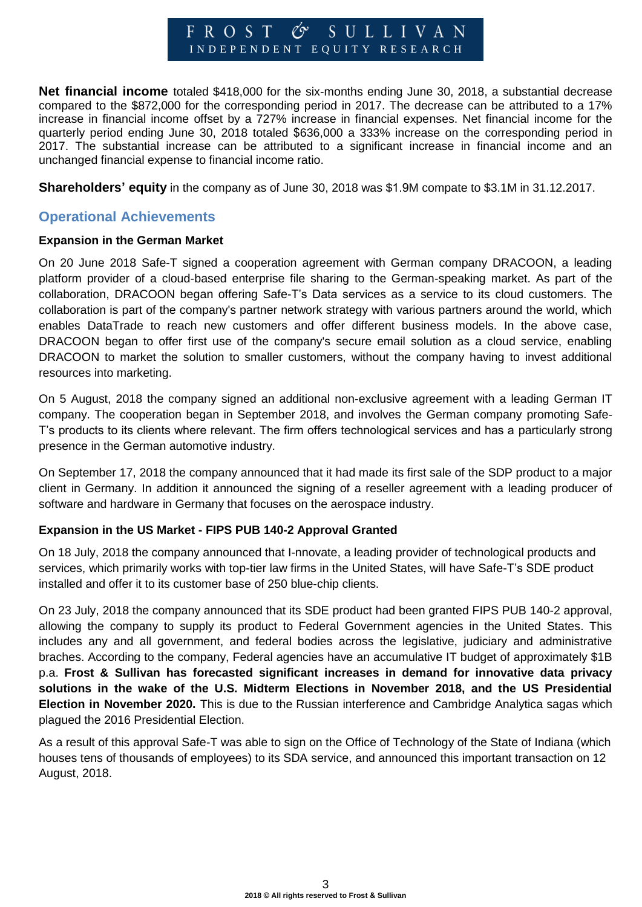#### SULLIVAN FROST  $\mathscr{C}S^{\prime}$ I N D E P E N D E N T E Q U I T Y R E S E A R C H

**Net financial income** totaled \$418,000 for the six-months ending June 30, 2018, a substantial decrease compared to the \$872,000 for the corresponding period in 2017. The decrease can be attributed to a 17% increase in financial income offset by a 727% increase in financial expenses. Net financial income for the quarterly period ending June 30, 2018 totaled \$636,000 a 333% increase on the corresponding period in 2017. The substantial increase can be attributed to a significant increase in financial income and an unchanged financial expense to financial income ratio.

**Shareholders' equity** in the company as of June 30, 2018 was \$1.9M compate to \$3.1M in 31.12.2017.

#### **Operational Achievements**

#### **Expansion in the German Market**

On 20 June 2018 Safe-T signed a cooperation agreement with German company DRACOON, a leading platform provider of a cloud-based enterprise file sharing to the German-speaking market. As part of the collaboration, DRACOON began offering Safe-T's Data services as a service to its cloud customers. The collaboration is part of the company's partner network strategy with various partners around the world, which enables DataTrade to reach new customers and offer different business models. In the above case, DRACOON began to offer first use of the company's secure email solution as a cloud service, enabling DRACOON to market the solution to smaller customers, without the company having to invest additional resources into marketing.

On 5 August, 2018 the company signed an additional non-exclusive agreement with a leading German IT company. The cooperation began in September 2018, and involves the German company promoting Safe-T's products to its clients where relevant. The firm offers technological services and has a particularly strong presence in the German automotive industry.

On September 17, 2018 the company announced that it had made its first sale of the SDP product to a major client in Germany. In addition it announced the signing of a reseller agreement with a leading producer of software and hardware in Germany that focuses on the aerospace industry.

#### **Expansion in the US Market - FIPS PUB 140-2 Approval Granted**

On 18 July, 2018 the company announced that I-nnovate, a leading provider of technological products and services, which primarily works with top-tier law firms in the United States, will have Safe-T's SDE product installed and offer it to its customer base of 250 blue-chip clients.

On 23 July, 2018 the company announced that its SDE product had been granted FIPS PUB 140-2 approval, allowing the company to supply its product to Federal Government agencies in the United States. This includes any and all government, and federal bodies across the legislative, judiciary and administrative braches. According to the company, Federal agencies have an accumulative IT budget of approximately \$1B p.a. **Frost & Sullivan has forecasted significant increases in demand for innovative data privacy solutions in the wake of the U.S. Midterm Elections in November 2018, and the US Presidential Election in November 2020.** This is due to the Russian interference and Cambridge Analytica sagas which plagued the 2016 Presidential Election.

As a result of this approval Safe-T was able to sign on the Office of Technology of the State of Indiana (which houses tens of thousands of employees) to its SDA service, and announced this important transaction on 12 August, 2018.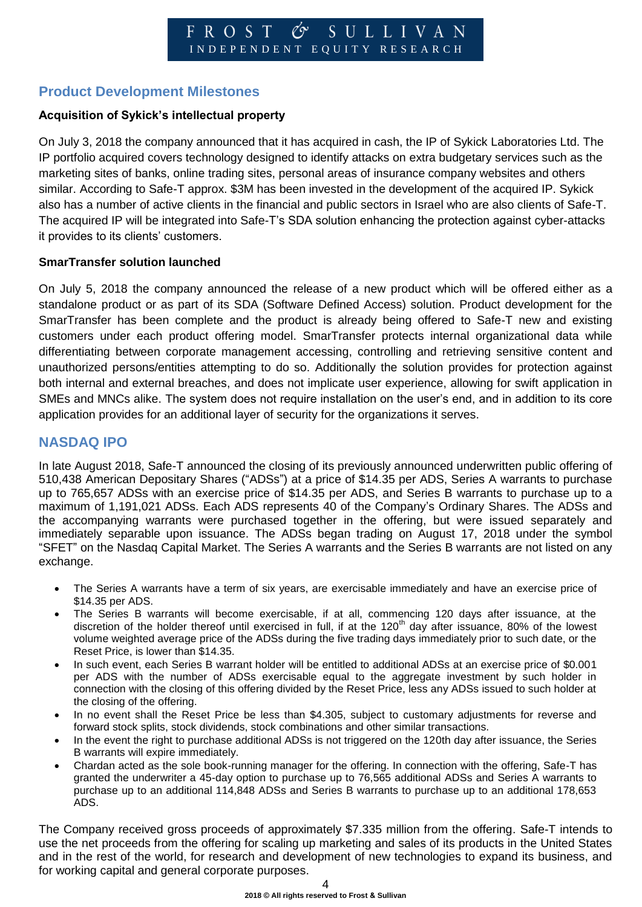### **Product Development Milestones**

#### **Acquisition of Sykick's intellectual property**

On July 3, 2018 the company announced that it has acquired in cash, the IP of Sykick Laboratories Ltd. The IP portfolio acquired covers technology designed to identify attacks on extra budgetary services such as the marketing sites of banks, online trading sites, personal areas of insurance company websites and others similar. According to Safe-T approx. \$3M has been invested in the development of the acquired IP. Sykick also has a number of active clients in the financial and public sectors in Israel who are also clients of Safe-T. The acquired IP will be integrated into Safe-T's SDA solution enhancing the protection against cyber-attacks it provides to its clients' customers.

#### **SmarTransfer solution launched**

On July 5, 2018 the company announced the release of a new product which will be offered either as a standalone product or as part of its SDA (Software Defined Access) solution. Product development for the SmarTransfer has been complete and the product is already being offered to Safe-T new and existing customers under each product offering model. SmarTransfer protects internal organizational data while differentiating between corporate management accessing, controlling and retrieving sensitive content and unauthorized persons/entities attempting to do so. Additionally the solution provides for protection against both internal and external breaches, and does not implicate user experience, allowing for swift application in SMEs and MNCs alike. The system does not require installation on the user's end, and in addition to its core application provides for an additional layer of security for the organizations it serves.

#### **NASDAQ IPO**

In late August 2018, Safe-T announced the closing of its previously announced underwritten public offering of 510,438 American Depositary Shares ("ADSs") at a price of \$14.35 per ADS, Series A warrants to purchase up to 765,657 ADSs with an exercise price of \$14.35 per ADS, and Series B warrants to purchase up to a maximum of 1,191,021 ADSs. Each ADS represents 40 of the Company's Ordinary Shares. The ADSs and the accompanying warrants were purchased together in the offering, but were issued separately and immediately separable upon issuance. The ADSs began trading on August 17, 2018 under the symbol "SFET" on the Nasdaq Capital Market. The Series A warrants and the Series B warrants are not listed on any exchange.

- The Series A warrants have a term of six years, are exercisable immediately and have an exercise price of \$14.35 per ADS.
- The Series B warrants will become exercisable, if at all, commencing 120 days after issuance, at the discretion of the holder thereof until exercised in full, if at the  $120<sup>th</sup>$  day after issuance, 80% of the lowest volume weighted average price of the ADSs during the five trading days immediately prior to such date, or the Reset Price, is lower than \$14.35.
- In such event, each Series B warrant holder will be entitled to additional ADSs at an exercise price of \$0.001 per ADS with the number of ADSs exercisable equal to the aggregate investment by such holder in connection with the closing of this offering divided by the Reset Price, less any ADSs issued to such holder at the closing of the offering.
- In no event shall the Reset Price be less than \$4.305, subject to customary adjustments for reverse and forward stock splits, stock dividends, stock combinations and other similar transactions.
- In the event the right to purchase additional ADSs is not triggered on the 120th day after issuance, the Series B warrants will expire immediately.
- Chardan acted as the sole book-running manager for the offering. In connection with the offering, Safe-T has granted the underwriter a 45-day option to purchase up to 76,565 additional ADSs and Series A warrants to purchase up to an additional 114,848 ADSs and Series B warrants to purchase up to an additional 178,653 ADS.

The Company received gross proceeds of approximately \$7.335 million from the offering. Safe-T intends to use the net proceeds from the offering for scaling up marketing and sales of its products in the United States and in the rest of the world, for research and development of new technologies to expand its business, and for working capital and general corporate purposes.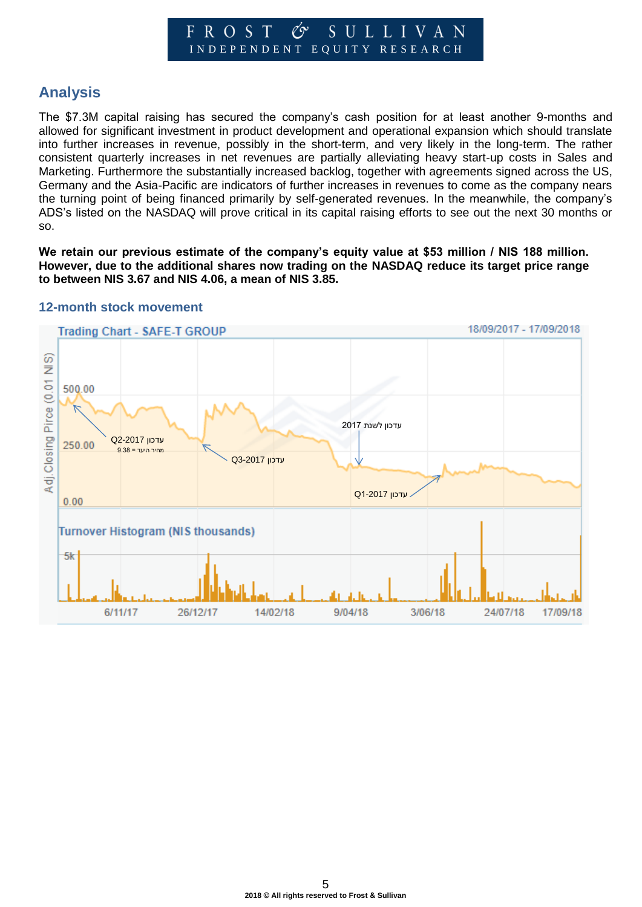#### SULLIVAN  $\mathscr{C}$ FROST I N D E P E N D E N T E Q U I T Y R E S E A R C H

# **Analysis**

The \$7.3M capital raising has secured the company's cash position for at least another 9-months and allowed for significant investment in product development and operational expansion which should translate into further increases in revenue, possibly in the short-term, and very likely in the long-term. The rather consistent quarterly increases in net revenues are partially alleviating heavy start-up costs in Sales and Marketing. Furthermore the substantially increased backlog, together with agreements signed across the US, Germany and the Asia-Pacific are indicators of further increases in revenues to come as the company nears the turning point of being financed primarily by self-generated revenues. In the meanwhile, the company's ADS's listed on the NASDAQ will prove critical in its capital raising efforts to see out the next 30 months or so.

We retain our previous estimate of the company's equity value at \$53 million / NIS 188 million. **However, due to the additional shares now trading on the NASDAQ reduce its target price range to between NIS 3.67 and NIS 4.06, a mean of NIS 3.85.**



#### **12-month stock movement**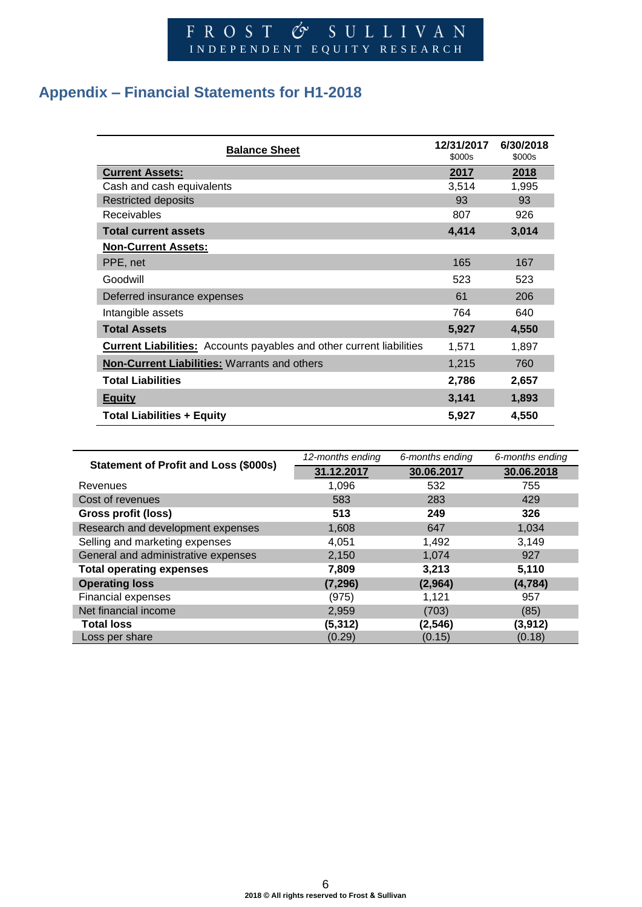# F R O S T & S U L L I V A N INDEPENDENT EQUITY RESEARCH

# **Appendix – Financial Statements for H1-2018**

| <b>Balance Sheet</b>                                                        | 12/31/2017<br>\$000s | 6/30/2018<br>\$000s |
|-----------------------------------------------------------------------------|----------------------|---------------------|
| <b>Current Assets:</b>                                                      | 2017                 | 2018                |
| Cash and cash equivalents                                                   | 3,514                | 1,995               |
| <b>Restricted deposits</b>                                                  | 93                   | 93                  |
| <b>Receivables</b>                                                          | 807                  | 926                 |
| <b>Total current assets</b>                                                 | 4,414                | 3,014               |
| <b>Non-Current Assets:</b>                                                  |                      |                     |
| PPE, net                                                                    | 165                  | 167                 |
| Goodwill                                                                    | 523                  | 523                 |
| Deferred insurance expenses                                                 | 61                   | 206                 |
| Intangible assets                                                           | 764                  | 640                 |
| <b>Total Assets</b>                                                         | 5,927                | 4,550               |
| <b>Current Liabilities:</b> Accounts payables and other current liabilities | 1,571                | 1,897               |
| <b>Non-Current Liabilities: Warrants and others</b>                         | 1,215                | 760                 |
| <b>Total Liabilities</b>                                                    | 2,786                | 2,657               |
| <b>Equity</b>                                                               | 3,141                | 1,893               |
| <b>Total Liabilities + Equity</b>                                           | 5,927                | 4,550               |

|                                              | 12-months ending | 6-months ending | 6-months ending |
|----------------------------------------------|------------------|-----------------|-----------------|
| <b>Statement of Profit and Loss (\$000s)</b> | 31.12.2017       | 30.06.2017      | 30.06.2018      |
| Revenues                                     | 1,096            | 532             | 755             |
| Cost of revenues                             | 583              | 283             | 429             |
| Gross profit (loss)                          | 513              | 249             | 326             |
| Research and development expenses            | 1,608            | 647             | 1,034           |
| Selling and marketing expenses               | 4,051            | 1,492           | 3,149           |
| General and administrative expenses          | 2,150            | 1,074           | 927             |
| <b>Total operating expenses</b>              | 7,809            | 3,213           | 5,110           |
| <b>Operating loss</b>                        | (7, 296)         | (2,964)         | (4, 784)        |
| Financial expenses                           | (975)            | 1,121           | 957             |
| Net financial income                         | 2,959            | (703)           | (85)            |
| <b>Total loss</b>                            | (5,312)          | (2, 546)        | (3, 912)        |
| Loss per share                               | (0.29)           | (0.15)          | (0.18)          |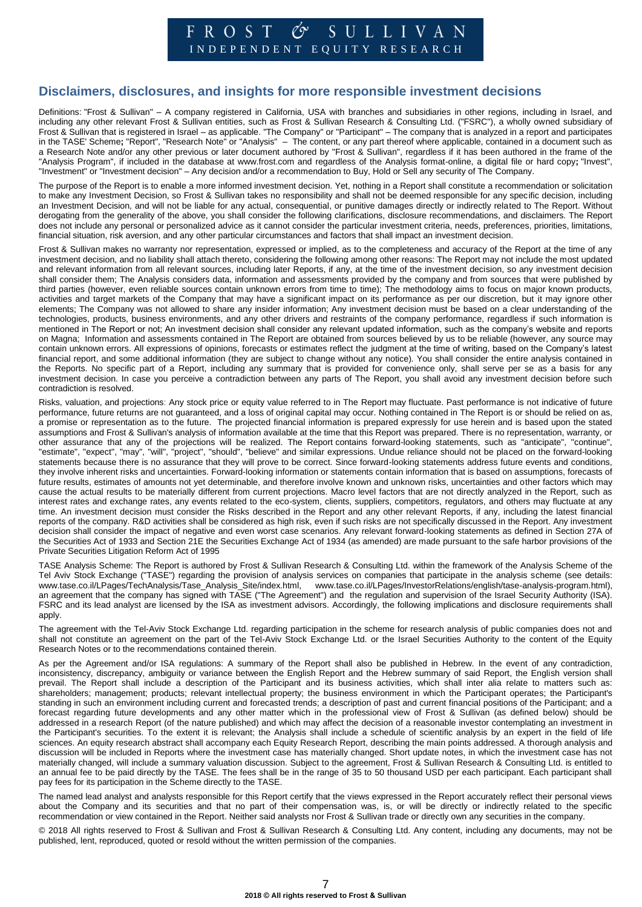#### $\circ$  SULLIVAN FROST I N D E P E N D E N T E Q U I T Y R E S E A R C H

#### **Disclaimers, disclosures, and insights for more responsible investment decisions**

Definitions: "Frost & Sullivan" – A company registered in California, USA with branches and subsidiaries in other regions, including in Israel, and including any other relevant Frost & Sullivan entities, such as Frost & Sullivan Research & Consulting Ltd. ("FSRC"), a wholly owned subsidiary of Frost & Sullivan that is registered in Israel – as applicable. "The Company" or "Participant" – The company that is analyzed in a report and participates in the TASE' Scheme**;** "Report", "Research Note" or "Analysis" – The content, or any part thereof where applicable, contained in a document such as a Research Note and/or any other previous or later document authored by "Frost & Sullivan", regardless if it has been authored in the frame of the "Analysis Program", if included in the database at www.frost.com and regardless of the Analysis format-online, a digital file or hard copy**;** "Invest", "Investment" or "Investment decision" – Any decision and/or a recommendation to Buy, Hold or Sell any security of The Company.

The purpose of the Report is to enable a more informed investment decision. Yet, nothing in a Report shall constitute a recommendation or solicitation to make any Investment Decision, so Frost & Sullivan takes no responsibility and shall not be deemed responsible for any specific decision, including an Investment Decision, and will not be liable for any actual, consequential, or punitive damages directly or indirectly related to The Report. Without derogating from the generality of the above, you shall consider the following clarifications, disclosure recommendations, and disclaimers. The Report does not include any personal or personalized advice as it cannot consider the particular investment criteria, needs, preferences, priorities, limitations, financial situation, risk aversion, and any other particular circumstances and factors that shall impact an investment decision.

Frost & Sullivan makes no warranty nor representation, expressed or implied, as to the completeness and accuracy of the Report at the time of any investment decision, and no liability shall attach thereto, considering the following among other reasons: The Report may not include the most updated and relevant information from all relevant sources, including later Reports, if any, at the time of the investment decision, so any investment decision shall consider them; The Analysis considers data, information and assessments provided by the company and from sources that were published by third parties (however, even reliable sources contain unknown errors from time to time); The methodology aims to focus on major known products, activities and target markets of the Company that may have a significant impact on its performance as per our discretion, but it may ignore other elements; The Company was not allowed to share any insider information; Any investment decision must be based on a clear understanding of the technologies, products, business environments, and any other drivers and restraints of the company performance, regardless if such information is mentioned in The Report or not; An investment decision shall consider any relevant updated information, such as the company's website and reports on Magna; Information and assessments contained in The Report are obtained from sources believed by us to be reliable (however, any source may contain unknown errors. All expressions of opinions, forecasts or estimates reflect the judgment at the time of writing, based on the Company's latest financial report, and some additional information (they are subject to change without any notice). You shall consider the entire analysis contained in the Reports. No specific part of a Report, including any summary that is provided for convenience only, shall serve per se as a basis for any investment decision. In case you perceive a contradiction between any parts of The Report, you shall avoid any investment decision before such contradiction is resolved.

Risks, valuation, and projections: Any stock price or equity value referred to in The Report may fluctuate. Past performance is not indicative of future performance, future returns are not guaranteed, and a loss of original capital may occur. Nothing contained in The Report is or should be relied on as, a promise or representation as to the future. The projected financial information is prepared expressly for use herein and is based upon the stated assumptions and Frost & Sullivan's analysis of information available at the time that this Report was prepared. There is no representation, warranty, or other assurance that any of the projections will be realized. The Report contains forward-looking statements, such as "anticipate", "continue", "estimate", "expect", "may", "will", "project", "should", "believe" and similar expressions. Undue reliance should not be placed on the forward-looking statements because there is no assurance that they will prove to be correct. Since forward-looking statements address future events and conditions, they involve inherent risks and uncertainties. Forward-looking information or statements contain information that is based on assumptions, forecasts of future results, estimates of amounts not yet determinable, and therefore involve known and unknown risks, uncertainties and other factors which may cause the actual results to be materially different from current projections. Macro level factors that are not directly analyzed in the Report, such as interest rates and exchange rates, any events related to the eco-system, clients, suppliers, competitors, regulators, and others may fluctuate at any time. An investment decision must consider the Risks described in the Report and any other relevant Reports, if any, including the latest financial reports of the company. R&D activities shall be considered as high risk, even if such risks are not specifically discussed in the Report. Any investment decision shall consider the impact of negative and even worst case scenarios. Any relevant forward-looking statements as defined in Section 27A of the Securities Act of 1933 and Section 21E the Securities Exchange Act of 1934 (as amended) are made pursuant to the safe harbor provisions of the Private Securities Litigation Reform Act of 1995

TASE Analysis Scheme: The Report is authored by Frost & Sullivan Research & Consulting Ltd. within the framework of the Analysis Scheme of the Tel Aviv Stock Exchange ("TASE") regarding the provision of analysis services on companies that participate in the analysis scheme (see details: [www.tase.co.il/LPages/TechAnalysis/Tase\\_Analysis\\_Site/index.html,](http://www.tase.co.il/LPages/TechAnalysis/Tase_Analysis_Site/index.html) [www.tase.co.il/LPages/InvestorRelations/english/tase-analysis-program.html\)](http://www.tase.co.il/LPages/InvestorRelations/english/tase-analysis-program.html), an agreement that the company has signed with TASE ("The Agreement") and the regulation and supervision of the Israel Security Authority (ISA). FSRC and its lead analyst are licensed by the ISA as investment advisors. Accordingly, the following implications and disclosure requirements shall apply.

The agreement with the Tel-Aviv Stock Exchange Ltd. regarding participation in the scheme for research analysis of public companies does not and shall not constitute an agreement on the part of the Tel-Aviv Stock Exchange Ltd. or the Israel Securities Authority to the content of the Equity Research Notes or to the recommendations contained therein.

As per the Agreement and/or ISA regulations: A summary of the Report shall also be published in Hebrew. In the event of any contradiction, inconsistency, discrepancy, ambiguity or variance between the English Report and the Hebrew summary of said Report, the English version shall prevail. The Report shall include a description of the Participant and its business activities, which shall inter alia relate to matters such as: shareholders; management; products; relevant intellectual property; the business environment in which the Participant operates; the Participant's standing in such an environment including current and forecasted trends; a description of past and current financial positions of the Participant; and a forecast regarding future developments and any other matter which in the professional view of Frost & Sullivan (as defined below) should be addressed in a research Report (of the nature published) and which may affect the decision of a reasonable investor contemplating an investment in the Participant's securities. To the extent it is relevant; the Analysis shall include a schedule of scientific analysis by an expert in the field of life sciences. An equity research abstract shall accompany each Equity Research Report, describing the main points addressed. A thorough analysis and discussion will be included in Reports where the investment case has materially changed. Short update notes, in which the investment case has not materially changed, will include a summary valuation discussion. Subject to the agreement, Frost & Sullivan Research & Consulting Ltd. is entitled to an annual fee to be paid directly by the TASE. The fees shall be in the range of 35 to 50 thousand USD per each participant. Each participant shall pay fees for its participation in the Scheme directly to the TASE.

The named lead analyst and analysts responsible for this Report certify that the views expressed in the Report accurately reflect their personal views about the Company and its securities and that no part of their compensation was, is, or will be directly or indirectly related to the specific recommendation or view contained in the Report. Neither said analysts nor Frost & Sullivan trade or directly own any securities in the company.

© 2018 All rights reserved to Frost & Sullivan and Frost & Sullivan Research & Consulting Ltd. Any content, including any documents, may not be published, lent, reproduced, quoted or resold without the written permission of the companies.